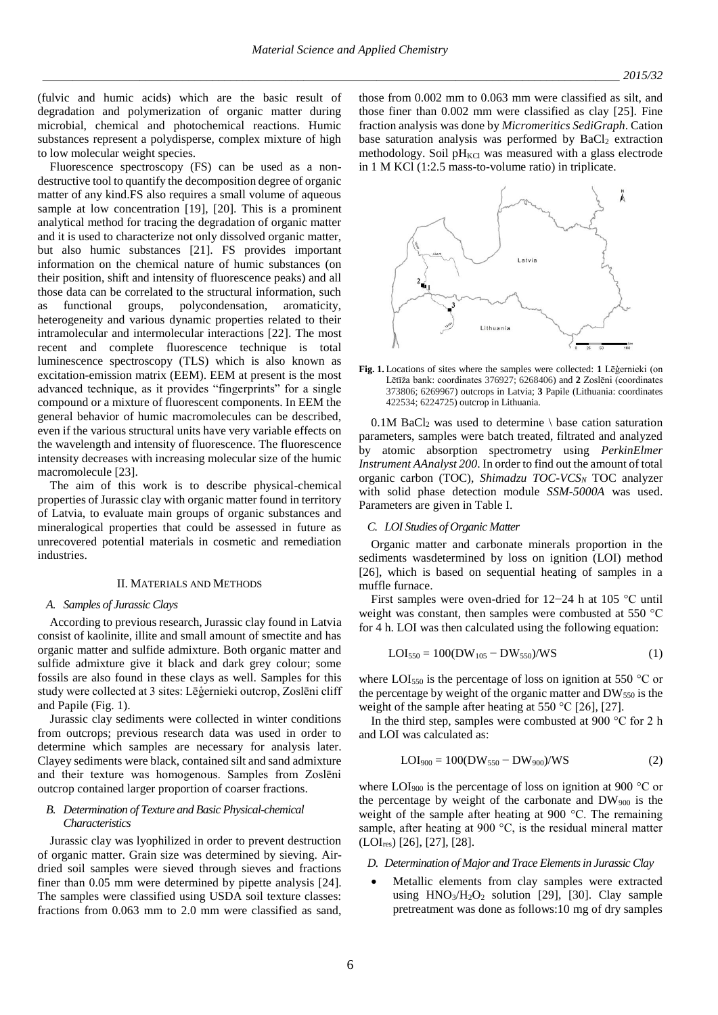(fulvic and humic acids) which are the basic result of degradation and polymerization of organic matter during microbial, chemical and photochemical reactions. Humic substances represent a polydisperse, complex mixture of high to low molecular weight species.

Fluorescence spectroscopy (FS) can be used as a nondestructive tool to quantify the decomposition degree of organic matter of any kind.FS also requires a small volume of aqueous sample at low concentration [19], [20]. This is a prominent analytical method for tracing the degradation of organic matter and it is used to characterize not only dissolved organic matter, but also humic substances [21]. FS provides important information on the chemical nature of humic substances (on their position, shift and intensity of fluorescence peaks) and all those data can be correlated to the structural information, such as functional groups, polycondensation, aromaticity, heterogeneity and various dynamic properties related to their intramolecular and intermolecular interactions [22]. The most recent and complete fluorescence technique is total luminescence spectroscopy (TLS) which is also known as excitation-emission matrix (EEM). EEM at present is the most advanced technique, as it provides "fingerprints" for a single compound or a mixture of fluorescent components. In EEM the general behavior of humic macromolecules can be described, even if the various structural units have very variable effects on the wavelength and intensity of fluorescence. The fluorescence intensity decreases with increasing molecular size of the humic macromolecule [23].

The aim of this work is to describe physical-chemical properties of Jurassic clay with organic matter found in territory of Latvia, to evaluate main groups of organic substances and mineralogical properties that could be assessed in future as unrecovered potential materials in cosmetic and remediation industries.

#### II. MATERIALS AND METHODS

### *A. Samples of Jurassic Clays*

According to previous research, Jurassic clay found in Latvia consist of kaolinite, illite and small amount of smectite and has organic matter and sulfide admixture. Both organic matter and sulfide admixture give it black and dark grey colour; some fossils are also found in these clays as well. Samples for this study were collected at 3 sites: Lēģernieki outcrop, Zoslēni cliff and Papile (Fig. 1).

Jurassic clay sediments were collected in winter conditions from outcrops; previous research data was used in order to determine which samples are necessary for analysis later. Clayey sediments were black, contained silt and sand admixture and their texture was homogenous. Samples from Zoslēni outcrop contained larger proportion of coarser fractions.

# *B. Determination of Texture and Basic Physical-chemical Characteristics*

Jurassic clay was lyophilized in order to prevent destruction of organic matter. Grain size was determined by sieving. Airdried soil samples were sieved through sieves and fractions finer than 0.05 mm were determined by pipette analysis [24]. The samples were classified using USDA soil texture classes: fractions from 0.063 mm to 2.0 mm were classified as sand, those from 0.002 mm to 0.063 mm were classified as silt, and those finer than 0.002 mm were classified as clay [25]. Fine fraction analysis was done by *Micromeritics SediGraph*. Cation base saturation analysis was performed by  $BaCl<sub>2</sub>$  extraction methodology. Soil  $pH_{KCl}$  was measured with a glass electrode in 1 M KCl (1:2.5 mass-to-volume ratio) in triplicate.



**Fig. 1.** Locations of sites where the samples were collected: **1** Lēģernieki (on Lētīža bank: coordinates 376927; 6268406) and **2** Zoslēni (coordinates 373806; 6269967) outcrops in Latvia; **3** Papile (Lithuania: coordinates 422534; 6224725) outcrop in Lithuania.

 $0.1M$  BaCl<sub>2</sub> was used to determine  $\setminus$  base cation saturation parameters, samples were batch treated, filtrated and analyzed by atomic absorption spectrometry using *PerkinElmer Instrument AAnalyst 200*. In order to find out the amount of total organic carbon (TOC), *Shimadzu TOC-VCS<sup>N</sup>* TOC analyzer with solid phase detection module *SSM-5000A* was used. Parameters are given in Table I.

### *C. LOI Studies of Organic Matter*

Organic matter and carbonate minerals proportion in the sediments wasdetermined by loss on ignition (LOI) method [26], which is based on sequential heating of samples in a muffle furnace.

First samples were oven-dried for 12−24 h at 105 °C until weight was constant, then samples were combusted at 550 °C for 4 h. LOI was then calculated using the following equation:

$$
LOI_{550} = 100(DW_{105} - DW_{550})/WS
$$
 (1)

where LOI<sub>550</sub> is the percentage of loss on ignition at 550  $\degree$ C or the percentage by weight of the organic matter and  $DW_{550}$  is the weight of the sample after heating at 550  $^{\circ}$ C [26], [27].

In the third step, samples were combusted at 900 °C for 2 h and LOI was calculated as:

$$
LOI_{900} = 100(DW_{550} - DW_{900})/WS
$$
 (2)

where  $LOI_{900}$  is the percentage of loss on ignition at 900 °C or the percentage by weight of the carbonate and  $DW_{900}$  is the weight of the sample after heating at 900 °C. The remaining sample, after heating at 900 °C, is the residual mineral matter (LOIres) [26], [27], [28].

- *D. Determination of Major and Trace Elements in Jurassic Clay*
- Metallic elements from clay samples were extracted using  $HNO<sub>3</sub>/H<sub>2</sub>O<sub>2</sub>$  solution [29], [30]. Clay sample pretreatment was done as follows:10 mg of dry samples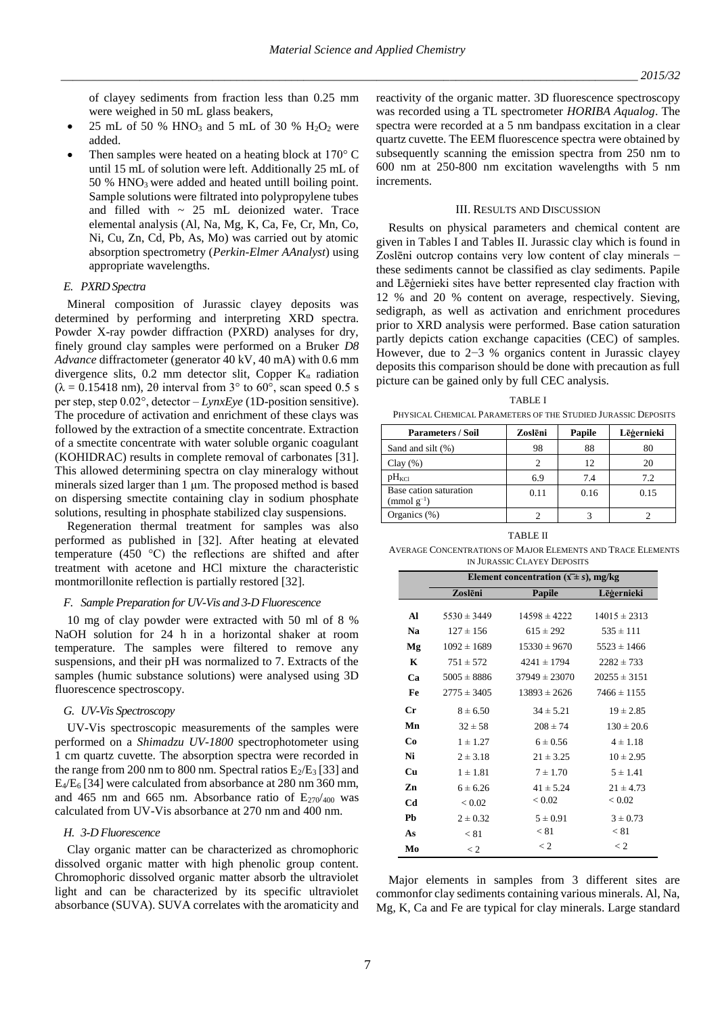of clayey sediments from fraction less than 0.25 mm were weighed in 50 mL glass beakers,

- 25 mL of 50 % HNO<sub>3</sub> and 5 mL of 30 % H<sub>2</sub>O<sub>2</sub> were added.
- Then samples were heated on a heating block at 170° C until 15 mL of solution were left. Additionally 25 mL of  $50\%$  HNO<sub>3</sub> were added and heated untill boiling point. Sample solutions were filtrated into polypropylene tubes and filled with  $\sim$  25 mL deionized water. Trace elemental analysis (Al, Na, Mg, K, Ca, Fe, Cr, Mn, Co, Ni, Cu, Zn, Cd, Pb, As, Mo) was carried out by atomic absorption spectrometry (*Perkin-Elmer AAnalyst*) using appropriate wavelengths.

### *E. PXRD Spectra*

Mineral composition of Jurassic clayey deposits was determined by performing and interpreting XRD spectra. Powder X-ray powder diffraction (PXRD) analyses for dry, finely ground clay samples were performed on a Bruker *D8 Advance* diffractometer (generator 40 kV, 40 mA) with 0.6 mm divergence slits, 0.2 mm detector slit, Copper  $K_{\alpha}$  radiation  $(\lambda = 0.15418 \text{ nm})$ , 20 interval from 3° to 60°, scan speed 0.5 s per step, step 0.02°, detector – *LynxEye* (1D-position sensitive). The procedure of activation and enrichment of these clays was followed by the extraction of a smectite concentrate. Extraction of a smectite concentrate with water soluble organic coagulant (KOHIDRAC) results in complete removal of carbonates [31]. This allowed determining spectra on clay mineralogy without minerals sized larger than 1 μm. The proposed method is based on dispersing smectite containing clay in sodium phosphate solutions, resulting in phosphate stabilized clay suspensions.

Regeneration thermal treatment for samples was also performed as published in [32]. After heating at elevated temperature (450 °C) the reflections are shifted and after treatment with acetone and HCl mixture the characteristic montmorillonite reflection is partially restored [32].

## *F. Sample Preparation for UV-Vis and 3-D Fluorescence*

10 mg of clay powder were extracted with 50 ml of 8 % NaOH solution for 24 h in a horizontal shaker at room temperature. The samples were filtered to remove any suspensions, and their pH was normalized to 7. Extracts of the samples (humic substance solutions) were analysed using 3D fluorescence spectroscopy.

# *G. UV-Vis Spectroscopy*

UV-Vis spectroscopic measurements of the samples were performed on a *Shimadzu UV-1800* spectrophotometer using 1 cm quartz cuvette. The absorption spectra were recorded in the range from 200 nm to 800 nm. Spectral ratios  $E_2/E_3$  [33] and E4/E<sup>6</sup> [34] were calculated from absorbance at 280 nm 360 mm, and 465 nm and 665 nm. Absorbance ratio of  $E_{270/400}$  was calculated from UV-Vis absorbance at 270 nm and 400 nm.

### *H. 3-D Fluorescence*

Clay organic matter can be characterized as chromophoric dissolved organic matter with high phenolic group content. Chromophoric dissolved organic matter absorb the ultraviolet light and can be characterized by its specific ultraviolet absorbance (SUVA). SUVA correlates with the aromaticity and

reactivity of the organic matter. 3D fluorescence spectroscopy was recorded using a TL spectrometer *HORIBA Aqualog*. The spectra were recorded at a 5 nm bandpass excitation in a clear quartz cuvette. The EEM fluorescence spectra were obtained by subsequently scanning the emission spectra from 250 nm to 600 nm at 250-800 nm excitation wavelengths with 5 nm increments.

### III. RESULTS AND DISCUSSION

Results on physical parameters and chemical content are given in Tables I and Tables II. Jurassic clay which is found in Zoslēni outcrop contains very low content of clay minerals − these sediments cannot be classified as clay sediments. Papile and Lēģernieki sites have better represented clay fraction with 12 % and 20 % content on average, respectively. Sieving, sedigraph, as well as activation and enrichment procedures prior to XRD analysis were performed. Base cation saturation partly depicts cation exchange capacities (CEC) of samples. However, due to 2−3 % organics content in Jurassic clayey deposits this comparison should be done with precaution as full picture can be gained only by full CEC analysis.

#### TABLE I

PHYSICAL CHEMICAL PARAMETERS OF THE STUDIED JURASSIC DEPOSITS

| <b>Parameters / Soil</b>                  | Zoslēni | Papile | Lēģernieki |
|-------------------------------------------|---------|--------|------------|
| Sand and silt (%)                         | 98      | 88     | 80         |
| Clay $(\% )$                              |         | 12     | 20         |
| $pH_{\text{KCl}}$                         | 6.9     | 7.4    | 7.2        |
| Base cation saturation<br>$\pmod{g^{-1}}$ | 0.11    | 0.16   | 0.15       |
| Organics $(\%)$                           |         |        |            |

TABLE II AVERAGE CONCENTRATIONS OF MAJOR ELEMENTS AND TRACE ELEMENTS IN JURASSIC CLAYEY DEPOSITS

|    | Element concentration $(\bar{x} \pm s)$ , mg/kg |                   |                  |  |  |  |
|----|-------------------------------------------------|-------------------|------------------|--|--|--|
|    | Zoslēni                                         | Papile            | Lēģernieki       |  |  |  |
| Al | $5530 \pm 3449$                                 | $14598 \pm 4222$  | $14015 \pm 2313$ |  |  |  |
| Na | $127 \pm 156$                                   | $615 \pm 292$     | $535 \pm 111$    |  |  |  |
| Mg | $1092 \pm 1689$                                 | $15330 \pm 9670$  | $5523 \pm 1466$  |  |  |  |
| K  | $751 \pm 572$                                   | $4241 \pm 1794$   | $2282 \pm 733$   |  |  |  |
| Ca | $5005 \pm 8886$                                 | $37949 \pm 23070$ | $20255 \pm 3151$ |  |  |  |
| Fe | $2775 \pm 3405$                                 | $13893 \pm 2626$  | $7466 \pm 1155$  |  |  |  |
| Сr | $8 \pm 6.50$                                    | $34 \pm 5.21$     | $19 \pm 2.85$    |  |  |  |
| Mn | $32 \pm 58$                                     | $208 \pm 74$      | $130 \pm 20.6$   |  |  |  |
| Co | $1 \pm 1.27$                                    | $6 \pm 0.56$      | $4 \pm 1.18$     |  |  |  |
| Ni | $2 \pm 3.18$                                    | $21 \pm 3.25$     | $10 \pm 2.95$    |  |  |  |
| Cu | $1 \pm 1.81$                                    | $7 \pm 1.70$      | $5 \pm 1.41$     |  |  |  |
| Zn | $6 \pm 6.26$                                    | $41 \pm 5.24$     | $21 \pm 4.73$    |  |  |  |
| Cd | ${}_{< 0.02}$                                   | ${}_{< 0.02}$     | ${}_{< 0.02}$    |  |  |  |
| Pb | $2 \pm 0.32$                                    | $5 \pm 0.91$      | $3 \pm 0.73$     |  |  |  |
| As | < 81                                            | < 81              | < 81             |  |  |  |
| Mo | $\lt 2$                                         | $\lt 2$           | $\lt 2$          |  |  |  |

Major elements in samples from 3 different sites are commonfor clay sediments containing various minerals. Al, Na, Mg, K, Ca and Fe are typical for clay minerals. Large standard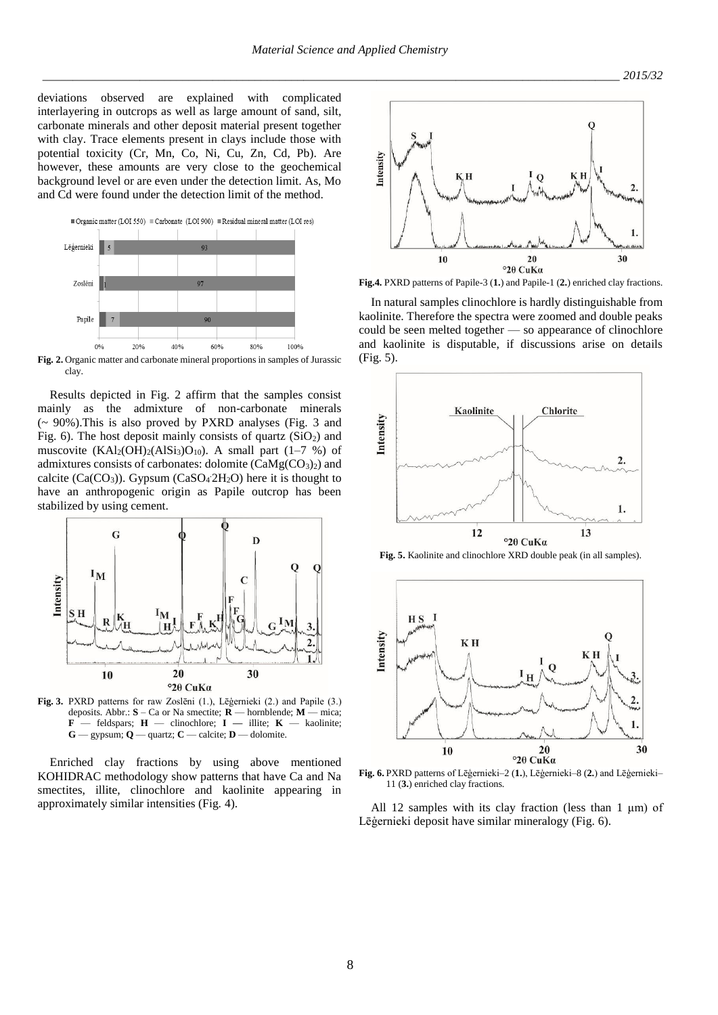deviations observed are explained with complicated interlayering in outcrops as well as large amount of sand, silt, carbonate minerals and other deposit material present together with clay. Trace elements present in clays include those with potential toxicity (Cr, Mn, Co, Ni, Cu, Zn, Cd, Pb). Are however, these amounts are very close to the geochemical background level or are even under the detection limit. As, Mo and Cd were found under the detection limit of the method.



**Fig. 2.** Organic matter and carbonate mineral proportions in samples of Jurassic clay.

Results depicted in Fig. 2 affirm that the samples consist mainly as the admixture of non-carbonate minerals (~ 90%).This is also proved by PXRD analyses (Fig. 3 and Fig. 6). The host deposit mainly consists of quartz  $(SiO<sub>2</sub>)$  and muscovite  $(KAl<sub>2</sub>(OH)<sub>2</sub>(AlSi<sub>3</sub>)O<sub>10</sub>)$ . A small part (1–7 %) of admixtures consists of carbonates: dolomite  $(CaMg(CO<sub>3</sub>)<sub>2</sub>)$  and calcite  $(Ca(CO_3))$ . Gypsum  $(CaSO_4 2H_2O)$  here it is thought to have an anthropogenic origin as Papile outcrop has been stabilized by using cement.



**Fig. 3.** PXRD patterns for raw Zoslēni (1.), Lēģernieki (2.) and Papile (3.) deposits. Abbr.: **S** – Ca or Na smectite; **R** — hornblende; **M** — mica;  $\mathbf{F}$  — feldspars;  $\mathbf{H}$  — clinochlore;  $\mathbf{I}$  — illite;  $\mathbf{K}$  — kaolinite;  $G$  — gypsum;  $Q$  — quartz;  $C$  — calcite;  $D$  — dolomite.

Enriched clay fractions by using above mentioned KOHIDRAC methodology show patterns that have Ca and Na smectites, illite, clinochlore and kaolinite appearing in approximately similar intensities (Fig. 4).



**Fig.4.** PXRD patterns of Papile-3 (**1.**) and Papile-1 (**2.**) enriched clay fractions.

In natural samples clinochlore is hardly distinguishable from kaolinite. Therefore the spectra were zoomed and double peaks could be seen melted together — so appearance of clinochlore and kaolinite is disputable, if discussions arise on details (Fig. 5).



**Fig. 5.** Kaolinite and clinochlore XRD double peak (in all samples).



**Fig. 6.** PXRD patterns of Lēģernieki–2 (**1.**), Lēģernieki–8 (**2.**) and Lēģernieki– 11 (**3.**) enriched clay fractions.

All 12 samples with its clay fraction (less than 1 μm) of Lēģernieki deposit have similar mineralogy (Fig. 6).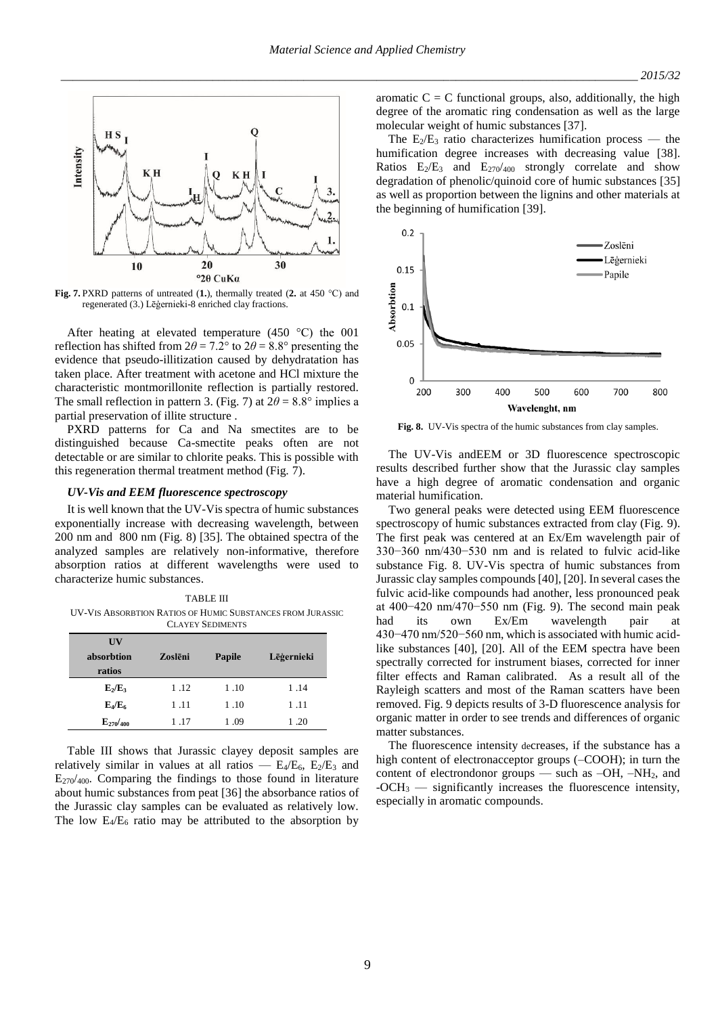

**Fig. 7.** PXRD patterns of untreated (**1.**), thermally treated (**2.** at 450 °C) and regenerated (3.) Lēģernieki-8 enriched clay fractions.

After heating at elevated temperature (450 °C) the 001 reflection has shifted from  $2\theta = 7.2^{\circ}$  to  $2\theta = 8.8^{\circ}$  presenting the evidence that pseudo-illitization caused by dehydratation has taken place. After treatment with acetone and HCl mixture the characteristic montmorillonite reflection is partially restored. The small reflection in pattern 3. (Fig. 7) at  $2\theta = 8.8^\circ$  implies a partial preservation of illite structure .

PXRD patterns for Ca and Na smectites are to be distinguished because Ca-smectite peaks often are not detectable or are similar to chlorite peaks. This is possible with this regeneration thermal treatment method (Fig. 7).

# *UV-Vis and EEM fluorescence spectroscopy*

It is well known that the UV-Vis spectra of humic substances exponentially increase with decreasing wavelength, between 200 nm and 800 nm (Fig. 8) [35]. The obtained spectra of the analyzed samples are relatively non-informative, therefore absorption ratios at different wavelengths were used to characterize humic substances.

TABLE III UV-VIS ABSORBTION RATIOS OF HUMIC SUBSTANCES FROM JURASSIC CLAYEY SEDIMENTS

| $\overline{\mathbf{U}}$ |         |               |            |  |  |
|-------------------------|---------|---------------|------------|--|--|
| absorbtion              | Zoslēni | <b>Papile</b> | Lēģernieki |  |  |
| ratios                  |         |               |            |  |  |
| $E_2/E_3$               | 1.12    | 1.10          | 1.14       |  |  |
| $E_4/E_6$               | 1.11    | 1.10          | 1.11       |  |  |
| $E_{270}/_{400}$        | 1.17    | 1.09          | 1.20       |  |  |

Table III shows that Jurassic clayey deposit samples are relatively similar in values at all ratios —  $E_4/E_6$ ,  $E_2/E_3$  and  $E_{270/400}$ . Comparing the findings to those found in literature about humic substances from peat [36] the absorbance ratios of the Jurassic clay samples can be evaluated as relatively low. The low  $E_4/E_6$  ratio may be attributed to the absorption by

aromatic  $C = C$  functional groups, also, additionally, the high degree of the aromatic ring condensation as well as the large molecular weight of humic substances [37].

The  $E_2/E_3$  ratio characterizes humification process — the humification degree increases with decreasing value [38]. Ratios  $E_2/E_3$  and  $E_{270}/400$  strongly correlate and show degradation of phenolic/quinoid core of humic substances [35] as well as proportion between the lignins and other materials at the beginning of humification [39].



**Fig. 8.** UV-Vis spectra of the humic substances from clay samples.

The UV-Vis andEEM or 3D fluorescence spectroscopic results described further show that the Jurassic clay samples have a high degree of aromatic condensation and organic material humification.

Two general peaks were detected using EEM fluorescence spectroscopy of humic substances extracted from clay (Fig. 9). The first peak was centered at an Ex/Em wavelength pair of 330−360 nm/430−530 nm and is related to fulvic acid-like substance Fig. 8. UV-Vis spectra of humic substances from Jurassic clay samples compounds [40], [20]. In several cases the fulvic acid-like compounds had another, less pronounced peak at 400−420 nm/470−550 nm (Fig. 9). The second main peak had its own Ex/Em wavelength pair at 430−470 nm/520−560 nm, which is associated with humic acidlike substances [40], [20]. All of the EEM spectra have been spectrally corrected for instrument biases, corrected for inner filter effects and Raman calibrated. As a result all of the Rayleigh scatters and most of the Raman scatters have been removed. Fig. 9 depicts results of 3-D fluorescence analysis for organic matter in order to see trends and differences of organic matter substances.

The fluorescence intensity decreases, if the substance has a high content of electronacceptor groups (–COOH); in turn the content of electrondonor groups — such as  $-OH$ ,  $-NH<sub>2</sub>$ , and -OCH<sup>3</sup> — significantly increases the fluorescence intensity, especially in aromatic compounds.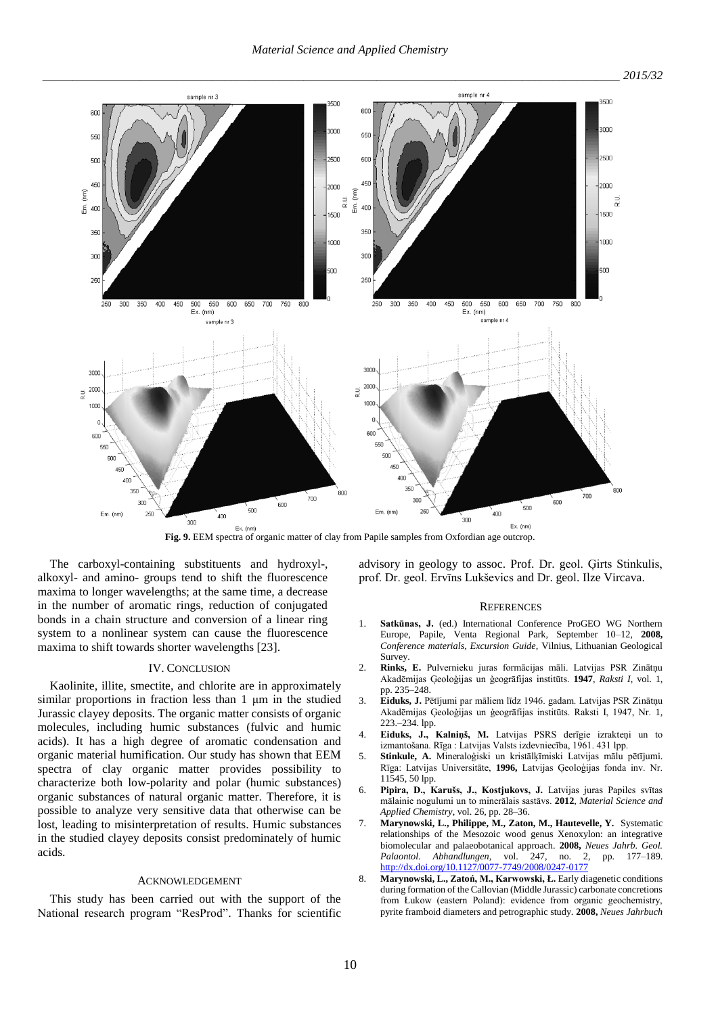

**Fig. 9. EEM spectra of organic matter of clay from Papile samples from Oxfordian age outcrop.** 

The carboxyl-containing substituents and hydroxyl-, alkoxyl- and amino- groups tend to shift the fluorescence maxima to longer wavelengths; at the same time, a decrease in the number of aromatic rings, reduction of conjugated bonds in a chain structure and conversion of a linear ring system to a nonlinear system can cause the fluorescence maxima to shift towards shorter wavelengths [23].

## IV. CONCLUSION

Kaolinite, illite, smectite, and chlorite are in approximately similar proportions in fraction less than 1 μm in the studied Jurassic clayey deposits. The organic matter consists of organic molecules, including humic substances (fulvic and humic acids). It has a high degree of aromatic condensation and organic material humification. Our study has shown that EEM spectra of clay organic matter provides possibility to characterize both low-polarity and polar (humic substances) organic substances of natural organic matter. Therefore, it is possible to analyze very sensitive data that otherwise can be lost, leading to misinterpretation of results. Humic substances in the studied clayey deposits consist predominately of humic acids.

### ACKNOWLEDGEMENT

This study has been carried out with the support of the National research program "ResProd". Thanks for scientific advisory in geology to assoc. Prof. Dr. geol. Ģirts Stinkulis, prof. Dr. geol. Ervīns Lukševics and Dr. geol. Ilze Vircava.

#### **REFERENCES**

- 1. **Satkūnas, J.** (ed.) International Conference ProGEO WG Northern Europe, Papile, Venta Regional Park, September 10–12, **2008,**  *Conference materials, Excursion Guide,* Vilnius, Lithuanian Geological **Survey.**
- 2. **Rinks, E.** Pulvernieku juras formācijas māli. Latvijas PSR Zinātņu Akadēmijas Ģeoloģijas un ģeogrāfijas institūts. **1947**, *Raksti I*, vol. 1, pp. 235–248.
- 3. **Eiduks, J.** Pētījumi par māliem līdz 1946. gadam. Latvijas PSR Zinātņu Akadēmijas Ģeoloģijas un ģeogrāfijas institūts. Raksti I, 1947, Nr. 1, 223.–234. lpp.
- 4. **Eiduks, J., Kalniņš, M.** Latvijas PSRS derīgie izrakteņi un to izmantošana. Rīga : Latvijas Valsts izdevniecība, 1961. 431 lpp.
- 5. **Stinkule, A.** Mineraloģiski un kristālķīmiski Latvijas mālu pētījumi. Rīga: Latvijas Universitāte, **1996,** Latvijas Ģeoloģijas fonda inv. Nr. 11545, 50 lpp.
- 6. **Pipira, D., Karušs, J., Kostjukovs, J.** Latvijas juras Papiles svītas mālainie nogulumi un to minerālais sastāvs. **2012**, *Material Science and Applied Chemistry*, vol. 26, pp. 28–36.
- 7. **Marynowski, L., Philippe, M., Zaton, M., Hautevelle, Y.** Systematic relationships of the Mesozoic wood genus Xenoxylon: an integrative biomolecular and palaeobotanical approach. **2008,** *Neues Jahrb. Geol. Palaontol. Abhandlungen,* vol. 247, no. 2, pp. 177–189. <http://dx.doi.org/10.1127/0077-7749/2008/0247-0177>
- 8. **Marynowski, L., Zatoń, M., Karwowski, Ł.** Early diagenetic conditions during formation of the Callovian (Middle Jurassic) carbonate concretions from Łukow (eastern Poland): evidence from organic geochemistry, pyrite framboid diameters and petrographic study. **2008,** *Neues Jahrbuch*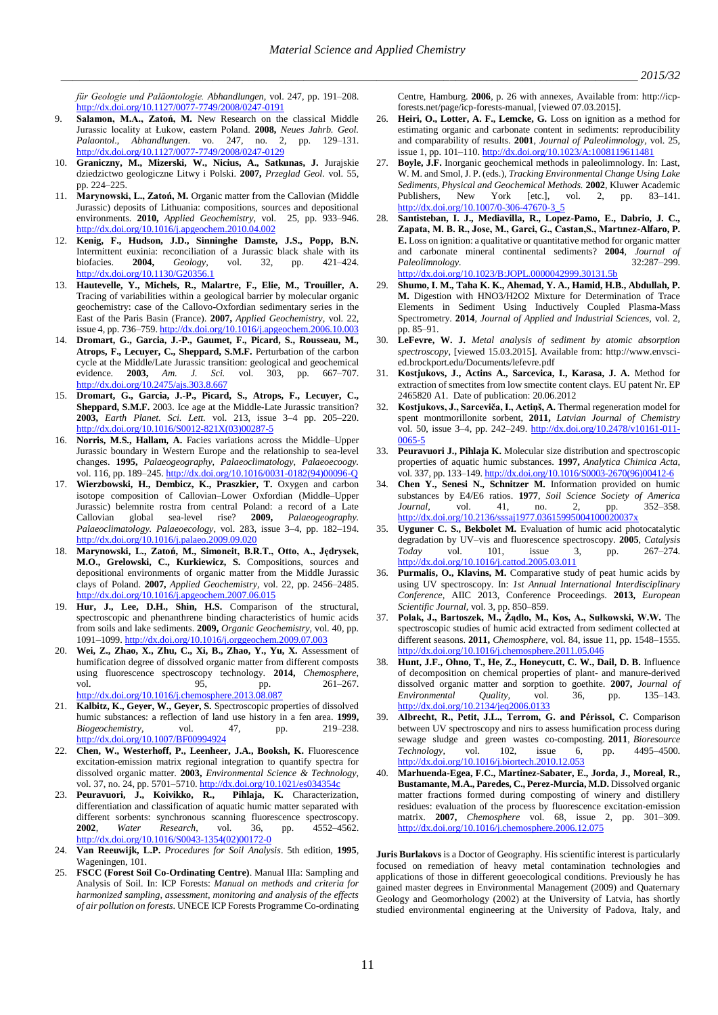*für Geologie und Paläontologie. Abhandlungen,* vol. 247, pp. 191–208. <http://dx.doi.org/10.1127/0077-7749/2008/0247-0191>

- 9. **Salamon, M.A., Zatoń, M.** New Research on the classical Middle Jurassic locality at Łukow, eastern Poland. **2008,** *Neues Jahrb. Geol. Palaontol., Abhandlungen.* vo. 247, no. 2, <http://dx.doi.org/10.1127/0077-7749/2008/0247-0129>
- 10. **Graniczny, M., Mizerski, W., Nicius, A., Satkunas, J.** Jurajskie dziedzictwo geologiczne Litwy i Polski. **2007,** *Przeglad Geol.* vol. 55, pp. 224–225.
- 11. **Marynowski, L., Zatoń, M.** Organic matter from the Callovian (Middle Jurassic) deposits of Lithuania: compositions, sources and depositional environments. **2010,** *Applied Geochemistry*, vol. 25, pp. 933–946. <http://dx.doi.org/10.1016/j.apgeochem.2010.04.002>
- 12. **Kenig, F., Hudson, J.D., Sinninghe Damste, J.S., Popp, B.N.** Intermittent euxinia: reconciliation of a Jurassic black shale with its biofacies. 2004, Geology, vol. 32, pp. 421-424. biofacies. **2004,** *Geology,* vol. 32, pp. 421–424. <http://dx.doi.org/10.1130/G20356.1>
- 13. **Hautevelle, Y., Michels, R., Malartre, F., Elie, M., Trouiller, A.** Tracing of variabilities within a geological barrier by molecular organic geochemistry: case of the Callovo-Oxfordian sedimentary series in the East of the Paris Basin (France). **2007,** *Applied Geochemistry,* vol. 22, issue 4, pp. 736–759[. http://dx.doi.org/10.1016/j.apgeochem.2006.10.003](http://dx.doi.org/10.1016/j.apgeochem.2006.10.003)
- 14. **Dromart, G., Garcia, J.-P., Gaumet, F., Picard, S., Rousseau, M., Atrops, F., Lecuyer, C., Sheppard, S.M.F.** Perturbation of the carbon cycle at the Middle/Late Jurassic transition: geological and geochemical evidence. **2003,** *Am. J. Sci.* vol. 303, pp. 667–707. <http://dx.doi.org/10.2475/ajs.303.8.667>
- 15. **Dromart, G., Garcia, J.-P., Picard, S., Atrops, F., Lecuyer, C., Sheppard, S.M.F.** 2003. Ice age at the Middle-Late Jurassic transition? **2003,** *Earth Planet. Sci. Lett.* vol. 213, issue 3–4 pp. 205–220. [http://dx.doi.org/10.1016/S0012-821X\(03\)00287-5](http://dx.doi.org/10.1016/S0012-821X(03)00287-5)
- 16. **Norris, M.S., Hallam, A.** Facies variations across the Middle–Upper Jurassic boundary in Western Europe and the relationship to sea-level changes. **1995,** *Palaeogeography, Palaeoclimatology, Palaeoecoogy.* vol. 116, pp. 189–245[. http://dx.doi.org/10.1016/0031-0182\(94\)00096-Q](http://dx.doi.org/10.1016/0031-0182(94)00096-Q)
- 17. **Wierzbowski, H., Dembicz, K., Praszkier, T.** Oxygen and carbon isotope composition of Callovian–Lower Oxfordian (Middle–Upper Jurassic) belemnite rostra from central Poland: a record of a Late Callovian global sea-level rise? **2009,** *Palaeogeography. Palaeoclimatology. Palaeoecology,* vol. 283, issue 3–4, pp. 182–194. <http://dx.doi.org/10.1016/j.palaeo.2009.09.020>
- 18. **Marynowski, L., Zatoń, M., Simoneit, B.R.T., Otto, A., Jędrysek, M.O., Grelowski, C., Kurkiewicz, S.** Compositions, sources and depositional environments of organic matter from the Middle Jurassic clays of Poland. **2007,** *Applied Geochemistry,* vol. 22, pp. 2456–2485. <http://dx.doi.org/10.1016/j.apgeochem.2007.06.015>
- 19. **Hur, J., Lee, D.H., Shin, H.S.** Comparison of the structural, spectroscopic and phenanthrene binding characteristics of humic acids from soils and lake sediments. **2009,** *Organic Geochemistry,* vol. 40, pp. 1091–1099[. http://dx.doi.org/10.1016/j.orggeochem.2009.07.003](http://dx.doi.org/10.1016/j.orggeochem.2009.07.003)
- 20. **Wei, Z., Zhao, X., Zhu, C., Xi, B., Zhao, Y., Yu, X.** Assessment of humification degree of dissolved organic matter from different composts using fluorescence spectroscopy technology. **2014,** *Chemosphere,* vol. 95, pp. 261–267. <http://dx.doi.org/10.1016/j.chemosphere.2013.08.087>
- 21. **Kalbitz, K., Geyer, W., Geyer, S.** Spectroscopic properties of dissolved humic substances: a reflection of land use history in a fen area. **1999,** *Biogeochemistry,* vol. 47, pp. 219–238. <http://dx.doi.org/10.1007/BF00994924>
- 22. **Chen, W., Westerhoff, P., Leenheer, J.A., Booksh, K.** Fluorescence excitation-emission matrix regional integration to quantify spectra for dissolved organic matter. **2003,** *Environmental Science & Technology,*  vol. 37, no. 24, pp. 5701-5710[. http://dx.doi.org/10.1021/es034354c](http://dx.doi.org/10.1021/es034354c)
- 23. **Peuravuori, J., Koivikko, R., Pihlaja, K.** Characterization, differentiation and classification of aquatic humic matter separated with different sorbents: synchronous scanning fluorescence spectroscopy. **2002**, *Water Research*, vol. 36, pp. 4552–4562. [http://dx.doi.org/10.1016/S0043-1354\(02\)00172-0](http://dx.doi.org/10.1016/S0043-1354(02)00172-0)
- 24. **Van Reeuwijk, L.P.** *Procedures for Soil Analysis*. 5th edition, **1995**, Wageningen, 101.
- 25. **FSCC (Forest Soil Co-Ordinating Centre)**. Manual IIIa: Sampling and Analysis of Soil. In: ICP Forests: *Manual on methods and criteria for harmonized sampling, assessment, monitoring and analysis of the effects of air pollution on forests*. UNECE ICP Forests Programme Co-ordinating

Centre, Hamburg. **2006**, p. 26 with annexes, Available from: http://icpforests.net/page/icp-forests-manual, [viewed 07.03.2015].

- Heiri, O., Lotter, A. F., Lemcke, G. Loss on ignition as a method for estimating organic and carbonate content in sediments: reproducibility and comparability of results. **2001**, *Journal of Paleolimnology,* vol. 25, issue 1, pp. 101–110[. http://dx.doi.org/10.1023/A:1008119611481](http://dx.doi.org/10.1023/A:1008119611481)
- 27. **Boyle, J.F.** Inorganic geochemical methods in paleolimnology. In: Last, W. M. and Smol, J. P. (eds.), *Tracking Environmental Change Using Lake Sediments, Physical and Geochemical Methods.* **2002**, Kluwer Academic Publishers, New York [etc.], vol. 2, pp. 83–141. [http://dx.doi.org/10.1007/0-306-47670-3\\_5](http://dx.doi.org/10.1007/0-306-47670-3_5)
- 28. **Santisteban, I. J., Mediavilla, R., Lopez-Pamo, E., Dabrio, J. C., Zapata, M. B. R., Jose, M., Garci, G., Castan,S., Martınez-Alfaro, P. E.** Loss on ignition: a qualitative or quantitative method for organic matter and carbonate mineral continental sediments? **2004**, *Journal of*   $Paleolimnology.$ <http://dx.doi.org/10.1023/B:JOPL.0000042999.30131.5b>
- 29. **Shumo, I. M., Taha K. K., Ahemad, Y. A., Hamid, H.B., Abdullah, P. M.** Digestion with HNO3/H2O2 Mixture for Determination of Trace Elements in Sediment Using Inductively Coupled Plasma-Mass Spectrometry. **2014**, *Journal of Applied and Industrial Sciences,* vol. 2, pp. 85–91.
- 30. **LeFevre, W. J.** *Metal analysis of sediment by atomic absorption spectroscopy*, [viewed 15.03.2015]. Available from: http://www.envscied.brockport.edu/Documents/lefevre.pdf
- 31. **Kostjukovs, J., Actins A., Sarcevica, I., Karasa, J. A.** Method for extraction of smectites from low smectite content clays. EU patent Nr. EP 2465820 A1. Date of publication: 20.06.2012
- 32. **Kostjukovs, J., Sarceviča, I., Actiņš, A.** Thermal regeneration model for spent montmorillonite sorbent, **2011,** *[Latvian Journal of Chemistry](http://versita.metapress.com/content/122162/?p=cfbc624a4fbb4c39aac1606529608aa8&pi=0)* vol. [50, issue](http://versita.metapress.com/content/w221knmq62m4/?p=cfbc624a4fbb4c39aac1606529608aa8&pi=0) 3-4, pp. 242-249. [http://dx.doi.org/10.2478/v10161-011-](http://dx.doi.org/10.2478/v10161-011-0065-5) [0065-5](http://dx.doi.org/10.2478/v10161-011-0065-5)
- 33. **Peuravuori J., Pihlaja K.** Molecular size distribution and spectroscopic properties of aquatic humic substances. **1997,** *Analytica Chimica Acta,* vol. 337, pp. 133–149[. http://dx.doi.org/10.1016/S0003-2670\(96\)00412-6](http://dx.doi.org/10.1016/S0003-2670(96)00412-6)
- 34. **Chen Y., Senesi N., Schnitzer M.** Information provided on humic substances by E4/E6 ratios. **1977**, *Soil Science Society of America Journal,* vol. 41, no. 2, pp. 352–358. <http://dx.doi.org/10.2136/sssaj1977.03615995004100020037x>
- 35. **Uyguner C. S., Bekbolet M.** Evaluation of humic acid photocatalytic degradation by UV–vis and fluorescence spectroscopy. **2005**, *Catalysis Today* vol. 101, issue 3, pp. 267–274. <http://dx.doi.org/10.1016/j.cattod.2005.03.011>
- Purmalis, O., Klavins, M. Comparative study of peat humic acids by using UV spectroscopy. In: *1st Annual International Interdisciplinary Conference*, AIIC 2013, Conference Proceedings. **2013,** *European Scientific Journal,* vol. 3, pp. 850–859.
- 37. **Polak, J., Bartoszek, M., Żądło, M., Kos, A., Sułkowski, W.W.** The spectroscopic studies of humic acid extracted from sediment collected at different seasons. **2011,** *Chemosphere,* vol. 84, issue 11, pp. 1548–1555. <http://dx.doi.org/10.1016/j.chemosphere.2011.05.046>
- 38. **Hunt, J.F., Ohno, T., He, Z., Honeycutt, C. W., Dail, D. B.** Influence of decomposition on chemical properties of plant- and manure-derived dissolved organic matter and sorption to goethite. **2007,** *Journal of Environmental Quality,* vol. 36, pp. 135–143. <http://dx.doi.org/10.2134/jeq2006.0133>
- 39. **Albrecht, R., Petit, J.L., Terrom, G. and Périssol, C.** Comparison between UV spectroscopy and nirs to assess humification process during sewage sludge and green wastes co-composting. **2011**, *Bioresource Technology,* vol. 102, issue 6, pp. 4495–4500. <http://dx.doi.org/10.1016/j.biortech.2010.12.053>
- 40. **Marhuenda-Egea, F.C., Martinez-Sabater, E., Jorda, J., Moreal, R., Bustamante, M.A., Paredes, C., Perez-Murcia, M.D.** Dissolved organic matter fractions formed during composting of winery and distillery residues: evaluation of the process by fluorescence excitation-emission matrix. **2007,** *Chemosphere* vol. 68, issue 2, pp. 301–309. <http://dx.doi.org/10.1016/j.chemosphere.2006.12.075>

**Juris Burlakovs** is a Doctor of Geography. His scientific interest is particularly focused on remediation of heavy metal contamination technologies and applications of those in different geoecological conditions. Previously he has gained master degrees in Environmental Management (2009) and Quaternary Geology and Geomorhology (2002) at the University of Latvia, has shortly studied environmental engineering at the University of Padova, Italy, and